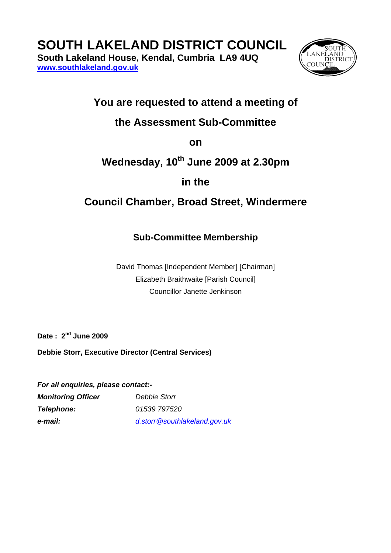# **SOUTH LAKELAND DISTRICT COUNCIL**

**South Lakeland House, Kendal, Cumbria LA9 4UQ [www.southlakeland.gov.uk](http://www.southlakeland.gov.uk/)**



### **You are requested to attend a meeting of**

### **the Assessment Sub-Committee**

**on** 

## **Wednesday, 10th June 2009 at 2.30pm**

**in the** 

### **Council Chamber, Broad Street, Windermere**

### **Sub-Committee Membership**

David Thomas [Independent Member] [Chairman] Elizabeth Braithwaite [Parish Council] Councillor Janette Jenkinson

**Date : 2nd June 2009** 

**Debbie Storr, Executive Director (Central Services)** 

*For all enquiries, please contact:- Monitoring Officer Debbie Storr Telephone: 01539 797520 e-mail: [d.storr@southlakeland.gov.uk](mailto:committeeservices@southlakeland.govv.uk)*